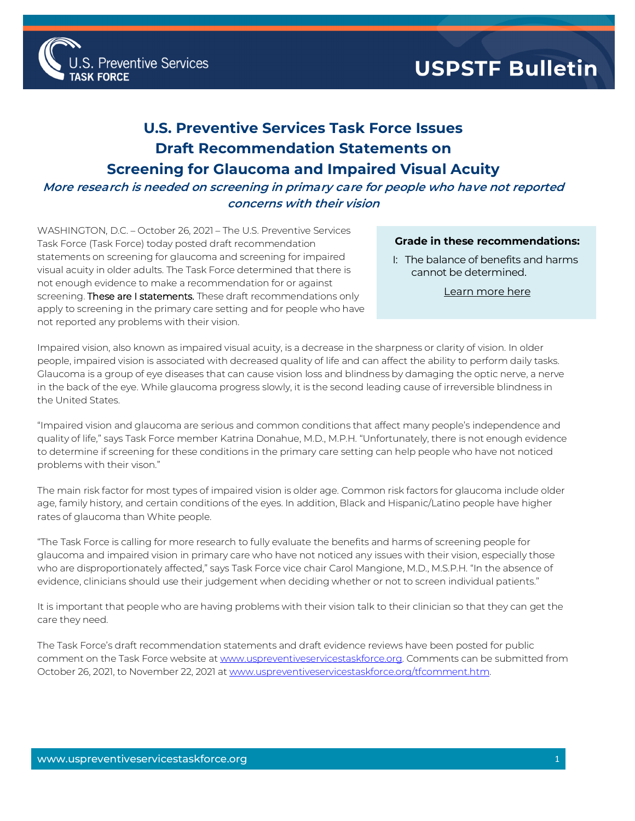

## **U.S. Preventive Services Task Force Issues Draft Recommendation Statements on Screening for Glaucoma and Impaired Visual Acuity**

## **More research is needed on screening in primary care for people who have not reported concerns with their vision**

WASHINGTON, D.C. – October 26, 2021 – The U.S. Preventive Services Task Force (Task Force) today posted draft recommendation statements on screening for glaucoma and screening for impaired visual acuity in older adults. The Task Force determined that there is not enough evidence to make a recommendation for or against screening. These are I statements. These draft recommendations only apply to screening in the primary care setting and for people who have not reported any problems with their vision.

## **Grade in these recommendations:**

I: The balance of benefits and harms cannot be determined.

[Learn more](http://www.uspreventiveservicestaskforce.org/Page/Name/grade-definitions) here

Impaired vision, also known as impaired visual acuity, is a decrease in the sharpness or clarity of vision. In older people, impaired vision is associated with decreased quality of life and can affect the ability to perform daily tasks. Glaucoma is a group of eye diseases that can cause vision loss and blindness by damaging the optic nerve, a nerve in the back of the eye. While glaucoma progress slowly, it is the second leading cause of irreversible blindness in the United States.

"Impaired vision and glaucoma are serious and common conditions that affect many people's independence and quality of life," says Task Force member Katrina Donahue, M.D., M.P.H. "Unfortunately, there is not enough evidence to determine if screening for these conditions in the primary care setting can help people who have not noticed problems with their vison."

The main risk factor for most types of impaired vision is older age. Common risk factors for glaucoma include older age, family history, and certain conditions of the eyes. In addition, Black and Hispanic/Latino people have higher rates of glaucoma than White people.

"The Task Force is calling for more research to fully evaluate the benefits and harms of screening people for glaucoma and impaired vision in primary care who have not noticed any issues with their vision, especially those who are disproportionately affected," says Task Force vice chair Carol Mangione, M.D., M.S.P.H. "In the absence of evidence, clinicians should use their judgement when deciding whether or not to screen individual patients."

It is important that people who are having problems with their vision talk to their clinician so that they can get the care they need.

The Task Force's draft recommendation statements and draft evidence reviews have been posted for public comment on the Task Force website a[t www.uspreventiveservicestaskforce.org.](http://www.uspreventiveservicestaskforce.org/) Comments can be submitted from October 26, 2021, to November 22, 2021 a[t www.uspreventiveservicestaskforce.org/tfcomment.htm.](http://www.uspreventiveservicestaskforce.org/tfcomment.htm)